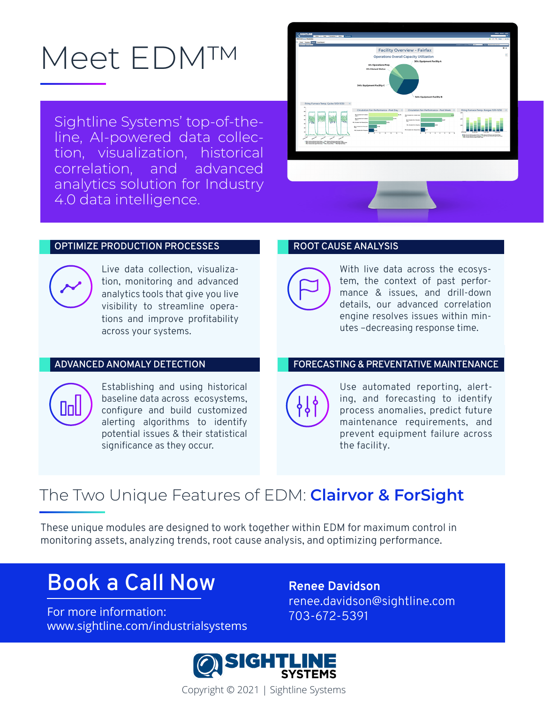# Meet EDM™

Sightline Systems' top-of-theline, AI-powered data collection, visualization, historical correlation, and advanced analytics solution for Industry 4.0 data intelligence.



#### **OPTIMIZE PRODUCTION PROCESSES**



Live data collection, visualization, monitoring and advanced analytics tools that give you live visibility to streamline operations and improve profitability across your systems.

#### **ADVANCED ANOMALY DETECTION**



Establishing and using historical baseline data across ecosystems, configure and build customized alerting algorithms to identify potential issues & their statistical significance as they occur.

#### **ROOT CAUSE ANALYSIS**



With live data across the ecosystem, the context of past performance & issues, and drill-down details, our advanced correlation engine resolves issues within minutes –decreasing response time.

#### **FORECASTING & PREVENTATIVE MAINTENANCE**



Use automated reporting, alerting, and forecasting to identify process anomalies, predict future maintenance requirements, and prevent equipment failure across the facility.

### The Two Unique Features of EDM: **Clairvor & ForSight**

These unique modules are designed to work together within EDM for maximum control in monitoring assets, analyzing trends, root cause analysis, and optimizing performance.

# **Book a Call Now**

For more information:  $703-672-5391$ www.sightline.com/industrialsystems

**Renee Davidson** renee.davidson@sightline.com



Copyright © 2021 | Sightline Systems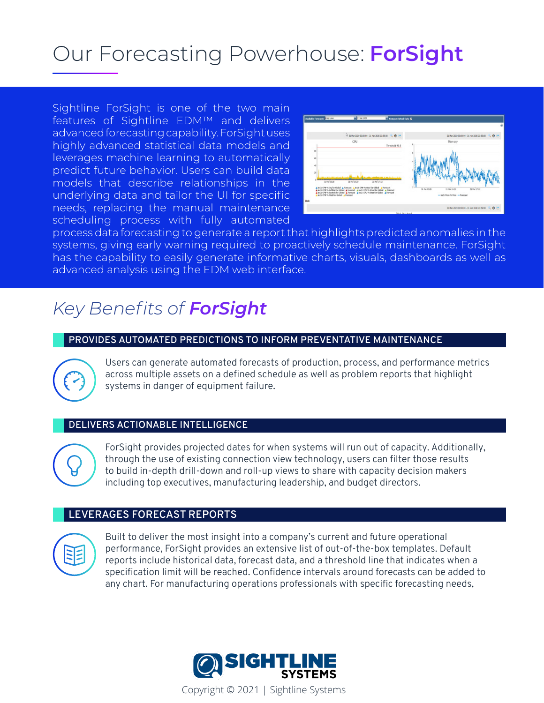# Our Forecasting Powerhouse: **ForSight**

Sightline ForSight is one of the two main features of Sightline EDM™ and delivers advanced forecasting capability. ForSight uses highly advanced statistical data models and leverages machine learning to automatically predict future behavior. Users can build data models that describe relationships in the underlying data and tailor the UI for specific needs, replacing the manual maintenance scheduling process with fully automated



process data forecasting to generate a report that highlights predicted anomalies in the systems, giving early warning required to proactively schedule maintenance. ForSight has the capability to easily generate informative charts, visuals, dashboards as well as advanced analysis using the EDM web interface.

### *Key Benefits of ForSight*

#### **PROVIDES AUTOMATED PREDICTIONS TO INFORM PREVENTATIVE MAINTENANCE**



Users can generate automated forecasts of production, process, and performance metrics across multiple assets on a defined schedule as well as problem reports that highlight systems in danger of equipment failure.

#### **DELIVERS ACTIONABLE INTELLIGENCE**

 $Q$ 

ForSight provides projected dates for when systems will run out of capacity. Additionally, through the use of existing connection view technology, users can filter those results to build in-depth drill-down and roll-up views to share with capacity decision makers including top executives, manufacturing leadership, and budget directors.

#### **LEVERAGES FORECAST REPORTS**



Built to deliver the most insight into a company's current and future operational performance, ForSight provides an extensive list of out-of-the-box templates. Default reports include historical data, forecast data, and a threshold line that indicates when a specification limit will be reached. Confidence intervals around forecasts can be added to any chart. For manufacturing operations professionals with specific forecasting needs,



Copyright © 2021 | Sightline Systems